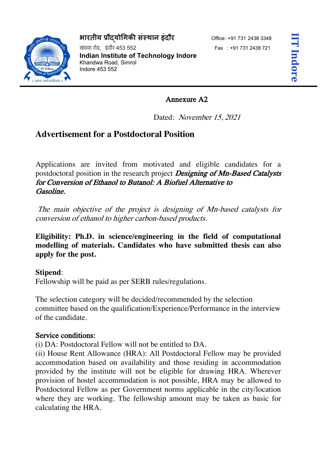## **भारतीय 'ौ)यो+गक. सं1थान इंदौर** Office: +91 731 <sup>2438</sup> <sup>3348</sup>

खंडवा रोड, डंदौर 453 552 Fax : +91 731 2438 721 **Indian Institute of Technology Indore**  Khandwa Road, Simrol Indore 453 552

## Annexure A2

Dated: November 15, 2021

# **Advertisement for a Postdoctoral Position**

Applications are invited from motivated and eligible candidates for a postdoctoral position in the research project **Designing of Mn-Based Catalysts** for Conversion of Ethanol to Butanol: A Biofuel Alternative to Gasoline.

The main objective of the project is designing of Mn-based catalysts for conversion of ethanol to higher carbon-based products.

**Eligibility: Ph.D. in science/engineering in the field of computational modelling of materials. Candidates who have submitted thesis can also apply for the post.**

## **Stipend**:

Fellowship will be paid as per SERB rules/regulations.

The selection category will be decided/recommended by the selection committee based on the qualification/Experience/Performance in the interview of the candidate.

### Service conditions:

(i) DA: Postdoctoral Fellow will not be entitled to DA.

(ii) House Rent Allowance (HRA): All Postdoctoral Fellow may be provided accommodation based on availability and those residing in accommodation provided by the institute will not be eligible for drawing HRA. Wherever provision of hostel accommodation is not possible, HRA may be allowed to Postdoctoral Fellow as per Government norms applicable in the city/location where they are working. The fellowship amount may be taken as basic for calculating the HRA.